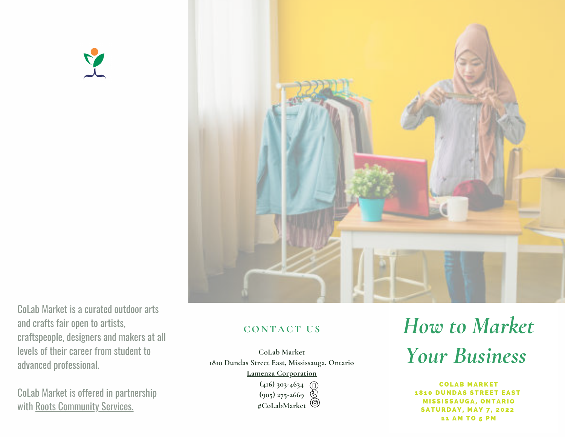



CoLab Market is a curated outdoor arts and crafts fair open to artists, [craftspeople,](https://rootscs.org/) designers and makers at all levels of their career from student to advanced professional.

CoLab Market is offered in partnership with Roots [Community](https://rootscs.org/) Services.

## **CON T A CT U S**

**CoLab Market 1810 Dundas Street East, Mississauga, Ontario Lamenza [Corporation](https://www.lamenzacorp.com/contact) (416) 303-4634**

**(905) 275-2669 #CoLabMarket**

# *How to Market Your Business*

**COLAB MARKET 1810 DUNDAS STREET EAST MISSISSAUGA, ONTARIO SATURDAY, MAY 7, 2022** 11 AM TO 5 PM